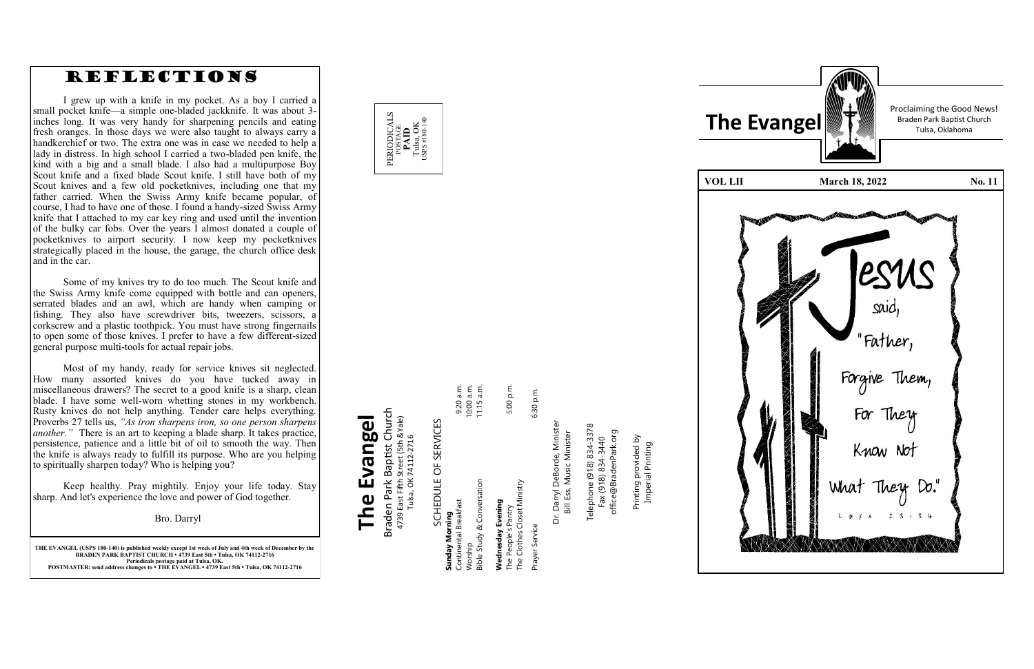

**THE EVANGEL (USPS 180 -140) is published weekly except 1st week of July and 4th week of December by the BRADEN PARK BAPTIST CHURCH • 4739 East 5th • Tulsa, OK 74112 -2716 Periodicals postage paid at Tulsa, OK. POSTMASTER: send address changes to • THE EVANGEL • 4739 East 5th • Tulsa, OK 74112 -2716**

POSTAGE<br>**PAID**<br>Tulsa, OK<br>sps#180-14 USPS #180-140

### Braden Park Baptist Church<br>4739 East Fifth Street (5th &Yale)<br>Tulsa, OK 74112-2716 Braden Park Baptist Church **The Evangel** 4739 East Fifth Street (5th &Yale) The Evangel Tulsa, OK 74112-2716

PERIODICALS

Dr. Darryl DeBorde, Minister<br>Bill Ess, Music Minister Dr. Darryl DeBorde, Minister Bill Ess, Music Minister

Telephone (918) 834-3378<br>Fax (918) 834-3440 Telephone (918) 834-3378 office@BradenPark.org office@BradenPark.org Fax (918) 834-3440

| SCHEDULE OF SERVICES                                                    |              |
|-------------------------------------------------------------------------|--------------|
| Sunday Morning                                                          |              |
| Continental Breakfast                                                   | 9:20 a.m.    |
| Worship                                                                 | 10:00 a.m.   |
| Bible Study & Conversation                                              | $11:15$ a.m. |
| The Clothes Closet Ministry<br>Wednesday Evening<br>The People's Pantry | 5:00 p.m.    |
| Prayer Service                                                          | 6:30 p.m.    |

 $5 \times 5$ 

Printing provided by Printing provided by<br>Imperial Printing Imperial Printing

| <b>The</b><br>Eν |
|------------------|
|                  |
| VOL LII          |
|                  |
| TWO TO           |
|                  |

Proclaiming the Good News!



### REFLECTIONS

I grew up with a knife in my pocket. As a boy I carried a small pocket knife —a simple one -bladed jackknife. It was about 3 inches long. It was very handy for sharpening pencils and eating fresh oranges. In those days we were also taught to always carry a handkerchief or two. The extra one was in case we needed to help a lady in distress. In high school I carried a two -bladed pen knife, the kind with a big and a small blade. I also had a multipurpose Boy Scout knife and a fixed blade Scout knife. I still have both of my Scout knives and a few old pocketknives, including one that my father carried. When the Swiss Army knife became popular, of course, I had to have one of those. I found a handy -sized Swiss Army knife that I attached to my car key ring and used until the invention of the bulky car fobs. Over the years I almost donated a couple of pocketknives to airport security. I now keep my pocketknives strategically placed in the house, the garage, the church office desk and in the car.

Some of my knives try to do too much. The Scout knife and the Swiss Army knife come equipped with bottle and can openers, serrated blades and an awl, which are handy when camping or fishing. They also have screwdriver bits, tweezers, scissors, a corkscrew and a plastic toothpick. You must have strong fingernails to open some of those knives. I prefer to have a few different -sized general purpose multi -tools for actual repair jobs.

Most of my handy, ready for service knives sit neglected. How many assorted knives do you have tucked away in miscellaneous drawers? The secret to a good knife is a sharp, clean blade. I have some well -worn whetting stones in my workbench. Rusty knives do not help anything. Tender care helps everything. Proverbs 27 tells us, *"As iron sharpens iron, so one person sharpens another. "* There is an art to keeping a blade sharp. It takes practice, persistence, patience and a little bit of oil to smooth the way. Then the knife is always ready to fulfill its purpose. Who are you helping to spiritually sharpen today? Who is helping you?

Keep healthy. Pray mightily. Enjoy your life today. Stay sharp. And let's experience the love and power of God together.

Bro. Darryl